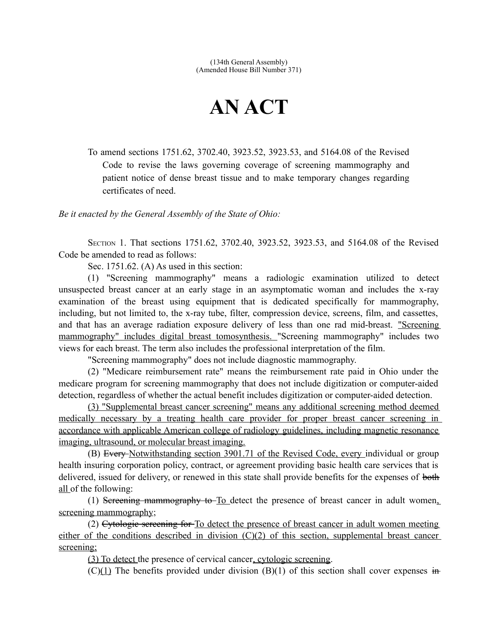## **AN ACT**

To amend sections 1751.62, 3702.40, 3923.52, 3923.53, and 5164.08 of the Revised Code to revise the laws governing coverage of screening mammography and patient notice of dense breast tissue and to make temporary changes regarding certificates of need.

*Be it enacted by the General Assembly of the State of Ohio:*

SECTION 1. That sections 1751.62, 3702.40, 3923.52, 3923.53, and 5164.08 of the Revised Code be amended to read as follows:

Sec. 1751.62. (A) As used in this section:

(1) "Screening mammography" means a radiologic examination utilized to detect unsuspected breast cancer at an early stage in an asymptomatic woman and includes the x-ray examination of the breast using equipment that is dedicated specifically for mammography, including, but not limited to, the x-ray tube, filter, compression device, screens, film, and cassettes, and that has an average radiation exposure delivery of less than one rad mid-breast. "Screening mammography" includes digital breast tomosynthesis. "Screening mammography" includes two views for each breast. The term also includes the professional interpretation of the film.

"Screening mammography" does not include diagnostic mammography.

(2) "Medicare reimbursement rate" means the reimbursement rate paid in Ohio under the medicare program for screening mammography that does not include digitization or computer-aided detection, regardless of whether the actual benefit includes digitization or computer-aided detection.

(3) "Supplemental breast cancer screening" means any additional screening method deemed medically necessary by a treating health care provider for proper breast cancer screening in accordance with applicable American college of radiology guidelines, including magnetic resonance imaging, ultrasound, or molecular breast imaging.

(B) Every Notwithstanding section 3901.71 of the Revised Code, every individual or group health insuring corporation policy, contract, or agreement providing basic health care services that is delivered, issued for delivery, or renewed in this state shall provide benefits for the expenses of both all of the following:

(1) Sereening mammography to To detect the presence of breast cancer in adult women, screening mammography;

(2) Cytologic screening for To detect the presence of breast cancer in adult women meeting either of the conditions described in division (C)(2) of this section, supplemental breast cancer screening;

(3) To detect the presence of cervical cancer, cytologic screening.

 $(C)(1)$  The benefits provided under division  $(B)(1)$  of this section shall cover expenses in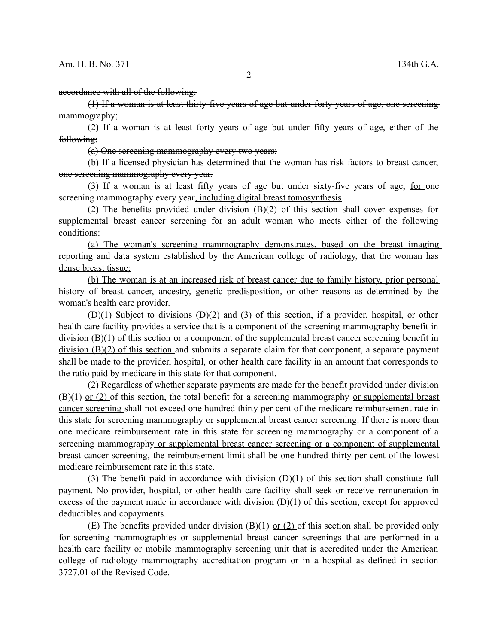accordance with all of the following:

(1) If a woman is at least thirty-five years of age but under forty years of age, one screening mammography;

(2) If a woman is at least forty years of age but under fifty years of age, either of the following:

(a) One screening mammography every two years;

(b) If a licensed physician has determined that the woman has risk factors to breast cancer, one screening mammography every year.

(3) If a woman is at least fifty years of age but under sixty-five years of age, for one screening mammography every year, including digital breast tomosynthesis.

(2) The benefits provided under division (B)(2) of this section shall cover expenses for supplemental breast cancer screening for an adult woman who meets either of the following conditions:

 (a) The woman's screening mammography demonstrates, based on the breast imaging reporting and data system established by the American college of radiology, that the woman has dense breast tissue;

(b) The woman is at an increased risk of breast cancer due to family history, prior personal history of breast cancer, ancestry, genetic predisposition, or other reasons as determined by the woman's health care provider.

(D)(1) Subject to divisions (D)(2) and (3) of this section, if a provider, hospital, or other health care facility provides a service that is a component of the screening mammography benefit in division (B)(1) of this section <u>or a component of the supplemental breast cancer screening benefit in</u> division (B)(2) of this section and submits a separate claim for that component, a separate payment shall be made to the provider, hospital, or other health care facility in an amount that corresponds to the ratio paid by medicare in this state for that component.

(2) Regardless of whether separate payments are made for the benefit provided under division  $(B)(1)$  or  $(2)$  of this section, the total benefit for a screening mammography or supplemental breast cancer screening shall not exceed one hundred thirty per cent of the medicare reimbursement rate in this state for screening mammography or supplemental breast cancer screening. If there is more than one medicare reimbursement rate in this state for screening mammography or a component of a screening mammography or supplemental breast cancer screening or a component of supplemental breast cancer screening, the reimbursement limit shall be one hundred thirty per cent of the lowest medicare reimbursement rate in this state.

(3) The benefit paid in accordance with division (D)(1) of this section shall constitute full payment. No provider, hospital, or other health care facility shall seek or receive remuneration in excess of the payment made in accordance with division  $(D)(1)$  of this section, except for approved deductibles and copayments.

(E) The benefits provided under division  $(B)(1)$  or  $(2)$  of this section shall be provided only for screening mammographies or supplemental breast cancer screenings that are performed in a health care facility or mobile mammography screening unit that is accredited under the American college of radiology mammography accreditation program or in a hospital as defined in section 3727.01 of the Revised Code.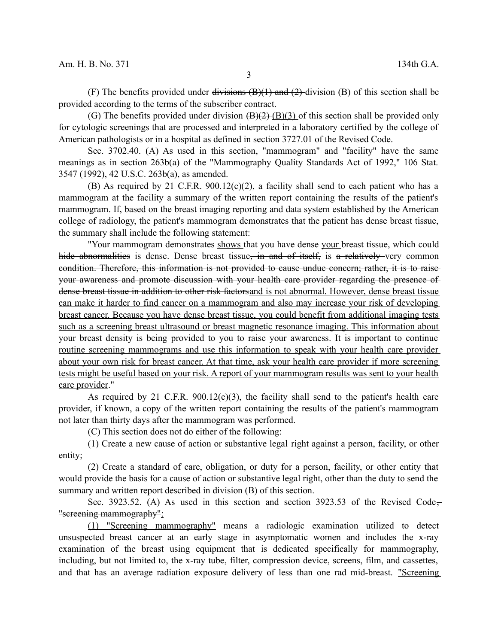3

(F) The benefits provided under divisions  $(B)(1)$  and  $(2)$ -division  $(B)$  of this section shall be provided according to the terms of the subscriber contract.

(G) The benefits provided under division  $(B)(2)$   $(B)(3)$  of this section shall be provided only for cytologic screenings that are processed and interpreted in a laboratory certified by the college of American pathologists or in a hospital as defined in section 3727.01 of the Revised Code.

Sec. 3702.40. (A) As used in this section, "mammogram" and "facility" have the same meanings as in section 263b(a) of the "Mammography Quality Standards Act of 1992," 106 Stat. 3547 (1992), 42 U.S.C. 263b(a), as amended.

(B) As required by 21 C.F.R.  $900.12(c)(2)$ , a facility shall send to each patient who has a mammogram at the facility a summary of the written report containing the results of the patient's mammogram. If, based on the breast imaging reporting and data system established by the American college of radiology, the patient's mammogram demonstrates that the patient has dense breast tissue, the summary shall include the following statement:

"Your mammogram demonstrates shows that you have dense your breast tissue, which could hide abnormalities is dense. Dense breast tissue, in and of itself, is a relatively very common condition. Therefore, this information is not provided to cause undue concern; rather, it is to raise your awareness and promote discussion with your health care provider regarding the presence of dense breast tissue in addition to other risk factorsand is not abnormal. However, dense breast tissue can make it harder to find cancer on a mammogram and also may increase your risk of developing breast cancer. Because you have dense breast tissue, you could benefit from additional imaging tests such as a screening breast ultrasound or breast magnetic resonance imaging. This information about your breast density is being provided to you to raise your awareness. It is important to continue routine screening mammograms and use this information to speak with your health care provider about your own risk for breast cancer. At that time, ask your health care provider if more screening tests might be useful based on your risk. A report of your mammogram results was sent to your health care provider."

As required by 21 C.F.R.  $900.12(c)(3)$ , the facility shall send to the patient's health care provider, if known, a copy of the written report containing the results of the patient's mammogram not later than thirty days after the mammogram was performed.

(C) This section does not do either of the following:

(1) Create a new cause of action or substantive legal right against a person, facility, or other entity;

(2) Create a standard of care, obligation, or duty for a person, facility, or other entity that would provide the basis for a cause of action or substantive legal right, other than the duty to send the summary and written report described in division (B) of this section.

Sec. 3923.52. (A) As used in this section and section 3923.53 of the Revised Code, "screening mammography":

(1) "Screening mammography" means a radiologic examination utilized to detect unsuspected breast cancer at an early stage in asymptomatic women and includes the x-ray examination of the breast using equipment that is dedicated specifically for mammography, including, but not limited to, the x-ray tube, filter, compression device, screens, film, and cassettes, and that has an average radiation exposure delivery of less than one rad mid-breast. "Screening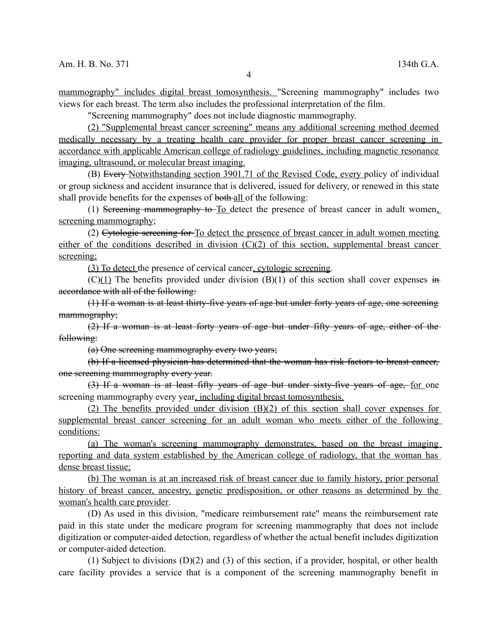mammography" includes digital breast tomosynthesis. "Screening mammography" includes two views for each breast. The term also includes the professional interpretation of the film.

"Screening mammography" does not include diagnostic mammography.

(2) "Supplemental breast cancer screening" means any additional screening method deemed medically necessary by a treating health care provider for proper breast cancer screening in accordance with applicable American college of radiology guidelines, including magnetic resonance imaging, ultrasound, or molecular breast imaging.

(B) Every Notwithstanding section 3901.71 of the Revised Code, every policy of individual or group sickness and accident insurance that is delivered, issued for delivery, or renewed in this state shall provide benefits for the expenses of both-all of the following:

(1) Sereening mammography to To detect the presence of breast cancer in adult women, screening mammography;

(2) Cytologic screening for To detect the presence of breast cancer in adult women meeting either of the conditions described in division (C)(2) of this section, supplemental breast cancer screening;

(3) To detect the presence of cervical cancer, cytologic screening.

 $(C)(1)$  The benefits provided under division  $(B)(1)$  of this section shall cover expenses in accordance with all of the following:

(1) If a woman is at least thirty-five years of age but under forty years of age, one screening mammography;

(2) If a woman is at least forty years of age but under fifty years of age, either of the following:

(a) One screening mammography every two years;

(b) If a licensed physician has determined that the woman has risk factors to breast cancer, one screening mammography every year.

(3) If a woman is at least fifty years of age but under sixty-five years of age, for one screening mammography every year, including digital breast tomosynthesis.

 (2) The benefits provided under division (B)(2) of this section shall cover expenses for supplemental breast cancer screening for an adult woman who meets either of the following conditions:

(a) The woman's screening mammography demonstrates, based on the breast imaging reporting and data system established by the American college of radiology, that the woman has dense breast tissue;

(b) The woman is at an increased risk of breast cancer due to family history, prior personal history of breast cancer, ancestry, genetic predisposition, or other reasons as determined by the woman's health care provider.

(D) As used in this division, "medicare reimbursement rate" means the reimbursement rate paid in this state under the medicare program for screening mammography that does not include digitization or computer-aided detection, regardless of whether the actual benefit includes digitization or computer-aided detection.

(1) Subject to divisions (D)(2) and (3) of this section, if a provider, hospital, or other health care facility provides a service that is a component of the screening mammography benefit in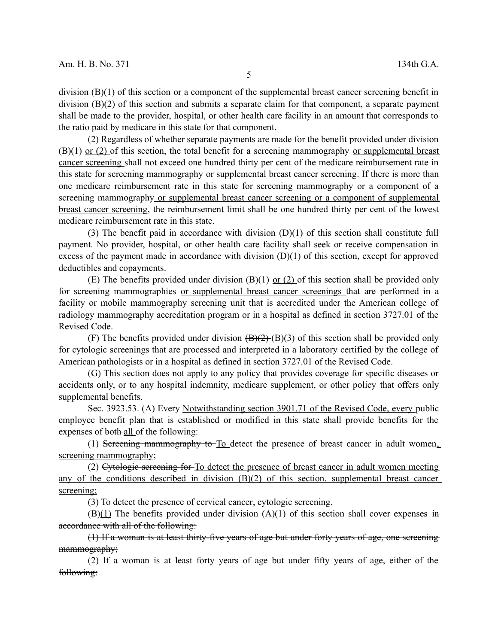division (B)(1) of this section or a component of the supplemental breast cancer screening benefit in division (B)(2) of this section and submits a separate claim for that component, a separate payment shall be made to the provider, hospital, or other health care facility in an amount that corresponds to the ratio paid by medicare in this state for that component.

(2) Regardless of whether separate payments are made for the benefit provided under division  $(B)(1)$  or  $(2)$  of this section, the total benefit for a screening mammography or supplemental breast cancer screening shall not exceed one hundred thirty per cent of the medicare reimbursement rate in this state for screening mammography or supplemental breast cancer screening. If there is more than one medicare reimbursement rate in this state for screening mammography or a component of a screening mammography or supplemental breast cancer screening or a component of supplemental breast cancer screening, the reimbursement limit shall be one hundred thirty per cent of the lowest medicare reimbursement rate in this state.

(3) The benefit paid in accordance with division (D)(1) of this section shall constitute full payment. No provider, hospital, or other health care facility shall seek or receive compensation in excess of the payment made in accordance with division  $(D)(1)$  of this section, except for approved deductibles and copayments.

(E) The benefits provided under division  $(B)(1)$  or  $(2)$  of this section shall be provided only for screening mammographies or supplemental breast cancer screenings that are performed in a facility or mobile mammography screening unit that is accredited under the American college of radiology mammography accreditation program or in a hospital as defined in section 3727.01 of the Revised Code.

(F) The benefits provided under division  $(B)(2)$  (B)(3) of this section shall be provided only for cytologic screenings that are processed and interpreted in a laboratory certified by the college of American pathologists or in a hospital as defined in section 3727.01 of the Revised Code.

(G) This section does not apply to any policy that provides coverage for specific diseases or accidents only, or to any hospital indemnity, medicare supplement, or other policy that offers only supplemental benefits.

Sec. 3923.53. (A) Every Notwithstanding section 3901.71 of the Revised Code, every public employee benefit plan that is established or modified in this state shall provide benefits for the expenses of both-all of the following:

(1) Sereening mammography to To detect the presence of breast cancer in adult women, screening mammography;

(2) Cytologic screening for To detect the presence of breast cancer in adult women meeting any of the conditions described in division  $(B)(2)$  of this section, supplemental breast cancer screening;

(3) To detect the presence of cervical cancer, cytologic screening.

 $(B)(1)$  The benefits provided under division  $(A)(1)$  of this section shall cover expenses in accordance with all of the following:

(1) If a woman is at least thirty-five years of age but under forty years of age, one screening mammography;

(2) If a woman is at least forty years of age but under fifty years of age, either of the following: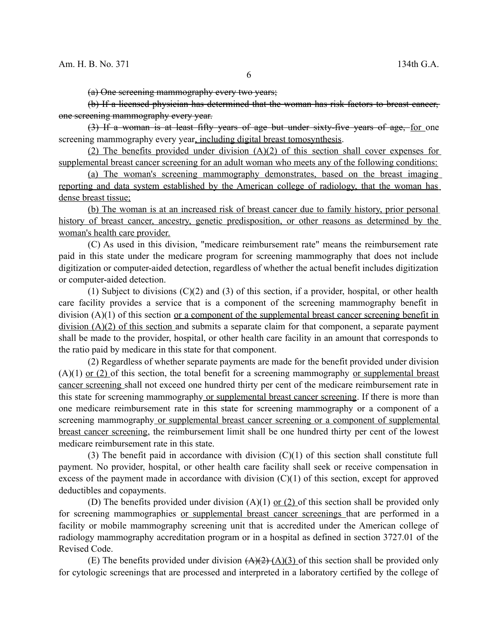(a) One screening mammography every two years;

(b) If a licensed physician has determined that the woman has risk factors to breast cancer, one screening mammography every year.

(3) If a woman is at least fifty years of age but under sixty-five years of age, for one screening mammography every year, including digital breast tomosynthesis.

 (2) The benefits provided under division (A)(2) of this section shall cover expenses for supplemental breast cancer screening for an adult woman who meets any of the following conditions:

(a) The woman's screening mammography demonstrates, based on the breast imaging reporting and data system established by the American college of radiology, that the woman has dense breast tissue;

(b) The woman is at an increased risk of breast cancer due to family history, prior personal history of breast cancer, ancestry, genetic predisposition, or other reasons as determined by the woman's health care provider.

(C) As used in this division, "medicare reimbursement rate" means the reimbursement rate paid in this state under the medicare program for screening mammography that does not include digitization or computer-aided detection, regardless of whether the actual benefit includes digitization or computer-aided detection.

(1) Subject to divisions (C)(2) and (3) of this section, if a provider, hospital, or other health care facility provides a service that is a component of the screening mammography benefit in division (A)(1) of this section or a component of the supplemental breast cancer screening benefit in division (A)(2) of this section and submits a separate claim for that component, a separate payment shall be made to the provider, hospital, or other health care facility in an amount that corresponds to the ratio paid by medicare in this state for that component.

(2) Regardless of whether separate payments are made for the benefit provided under division  $(A)(1)$  or  $(2)$  of this section, the total benefit for a screening mammography or supplemental breast cancer screening shall not exceed one hundred thirty per cent of the medicare reimbursement rate in this state for screening mammography or supplemental breast cancer screening. If there is more than one medicare reimbursement rate in this state for screening mammography or a component of a screening mammography or supplemental breast cancer screening or a component of supplemental breast cancer screening, the reimbursement limit shall be one hundred thirty per cent of the lowest medicare reimbursement rate in this state.

(3) The benefit paid in accordance with division  $(C)(1)$  of this section shall constitute full payment. No provider, hospital, or other health care facility shall seek or receive compensation in excess of the payment made in accordance with division  $(C)(1)$  of this section, except for approved deductibles and copayments.

(D) The benefits provided under division (A)(1) or (2) of this section shall be provided only for screening mammographies or supplemental breast cancer screenings that are performed in a facility or mobile mammography screening unit that is accredited under the American college of radiology mammography accreditation program or in a hospital as defined in section 3727.01 of the Revised Code.

(E) The benefits provided under division  $(A)(2)$  (A)(3) of this section shall be provided only for cytologic screenings that are processed and interpreted in a laboratory certified by the college of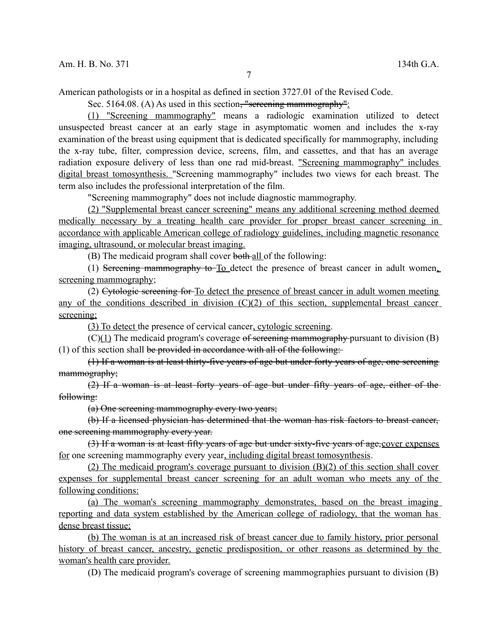American pathologists or in a hospital as defined in section 3727.01 of the Revised Code.

Sec. 5164.08. (A) As used in this section, "sereening mammography":

(1) "Screening mammography" means a radiologic examination utilized to detect unsuspected breast cancer at an early stage in asymptomatic women and includes the x-ray examination of the breast using equipment that is dedicated specifically for mammography, including the x-ray tube, filter, compression device, screens, film, and cassettes, and that has an average radiation exposure delivery of less than one rad mid-breast. "Screening mammography" includes digital breast tomosynthesis. "Screening mammography" includes two views for each breast. The term also includes the professional interpretation of the film.

"Screening mammography" does not include diagnostic mammography.

(2) "Supplemental breast cancer screening" means any additional screening method deemed medically necessary by a treating health care provider for proper breast cancer screening in accordance with applicable American college of radiology guidelines, including magnetic resonance imaging, ultrasound, or molecular breast imaging.

(B) The medicaid program shall cover both all of the following:

(1) Sereening mammography to To detect the presence of breast cancer in adult women. screening mammography;

(2) Cytologic screening for To detect the presence of breast cancer in adult women meeting any of the conditions described in division  $(C)(2)$  of this section, supplemental breast cancer screening;

(3) To detect the presence of cervical cancer, cytologic screening.

 $(C)(1)$  The medicaid program's coverage of sereening mammography pursuant to division (B) (1) of this section shall be provided in accordance with all of the following:

(1) If a woman is at least thirty-five years of age but under forty years of age, one screening mammography;

(2) If a woman is at least forty years of age but under fifty years of age, either of the following:

(a) One screening mammography every two years;

(b) If a licensed physician has determined that the woman has risk factors to breast cancer, one screening mammography every year.

(3) If a woman is at least fifty years of age but under sixty-five years of age,cover expenses for one screening mammography every year, including digital breast tomosynthesis.

(2) The medicaid program's coverage pursuant to division (B)(2) of this section shall cover expenses for supplemental breast cancer screening for an adult woman who meets any of the following conditions:

(a) The woman's screening mammography demonstrates, based on the breast imaging reporting and data system established by the American college of radiology, that the woman has dense breast tissue;

(b) The woman is at an increased risk of breast cancer due to family history, prior personal history of breast cancer, ancestry, genetic predisposition, or other reasons as determined by the woman's health care provider.

(D) The medicaid program's coverage of screening mammographies pursuant to division (B)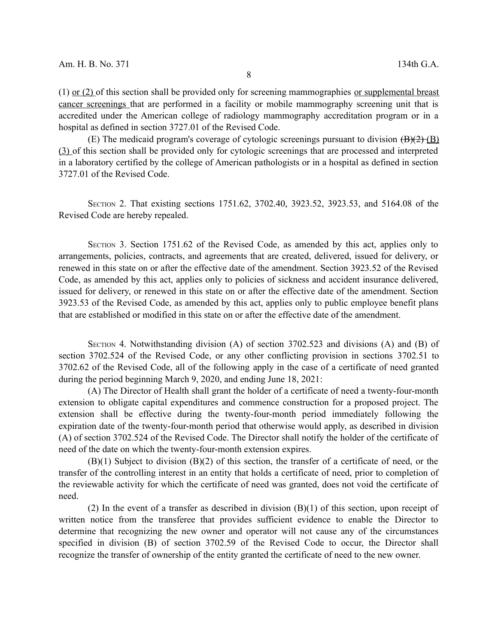(1) or (2) of this section shall be provided only for screening mammographies or supplemental breast cancer screenings that are performed in a facility or mobile mammography screening unit that is accredited under the American college of radiology mammography accreditation program or in a hospital as defined in section 3727.01 of the Revised Code.

(E) The medicaid program's coverage of cytologic screenings pursuant to division  $(\overline{B})(2)$  (B) (3) of this section shall be provided only for cytologic screenings that are processed and interpreted in a laboratory certified by the college of American pathologists or in a hospital as defined in section 3727.01 of the Revised Code.

SECTION 2. That existing sections 1751.62, 3702.40, 3923.52, 3923.53, and 5164.08 of the Revised Code are hereby repealed.

SECTION 3. Section 1751.62 of the Revised Code, as amended by this act, applies only to arrangements, policies, contracts, and agreements that are created, delivered, issued for delivery, or renewed in this state on or after the effective date of the amendment. Section 3923.52 of the Revised Code, as amended by this act, applies only to policies of sickness and accident insurance delivered, issued for delivery, or renewed in this state on or after the effective date of the amendment. Section 3923.53 of the Revised Code, as amended by this act, applies only to public employee benefit plans that are established or modified in this state on or after the effective date of the amendment.

SECTION 4. Notwithstanding division (A) of section 3702.523 and divisions (A) and (B) of section 3702.524 of the Revised Code, or any other conflicting provision in sections 3702.51 to 3702.62 of the Revised Code, all of the following apply in the case of a certificate of need granted during the period beginning March 9, 2020, and ending June 18, 2021:

(A) The Director of Health shall grant the holder of a certificate of need a twenty-four-month extension to obligate capital expenditures and commence construction for a proposed project. The extension shall be effective during the twenty-four-month period immediately following the expiration date of the twenty-four-month period that otherwise would apply, as described in division (A) of section 3702.524 of the Revised Code. The Director shall notify the holder of the certificate of need of the date on which the twenty-four-month extension expires.

(B)(1) Subject to division (B)(2) of this section, the transfer of a certificate of need, or the transfer of the controlling interest in an entity that holds a certificate of need, prior to completion of the reviewable activity for which the certificate of need was granted, does not void the certificate of need.

(2) In the event of a transfer as described in division  $(B)(1)$  of this section, upon receipt of written notice from the transferee that provides sufficient evidence to enable the Director to determine that recognizing the new owner and operator will not cause any of the circumstances specified in division (B) of section 3702.59 of the Revised Code to occur, the Director shall recognize the transfer of ownership of the entity granted the certificate of need to the new owner.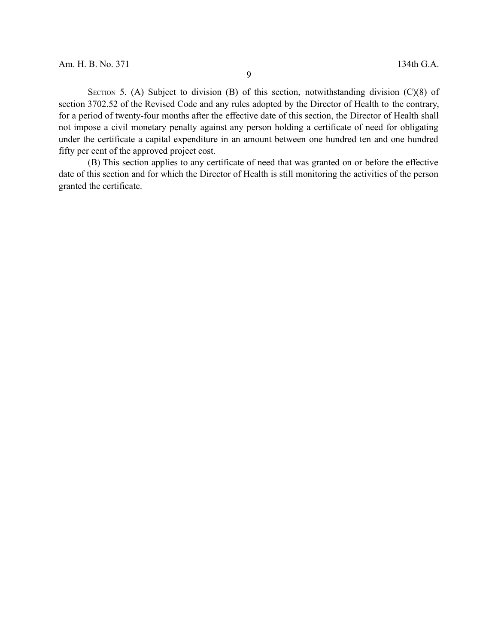SECTION 5. (A) Subject to division (B) of this section, notwithstanding division  $(C)(8)$  of section 3702.52 of the Revised Code and any rules adopted by the Director of Health to the contrary, for a period of twenty-four months after the effective date of this section, the Director of Health shall not impose a civil monetary penalty against any person holding a certificate of need for obligating under the certificate a capital expenditure in an amount between one hundred ten and one hundred fifty per cent of the approved project cost.

(B) This section applies to any certificate of need that was granted on or before the effective date of this section and for which the Director of Health is still monitoring the activities of the person granted the certificate.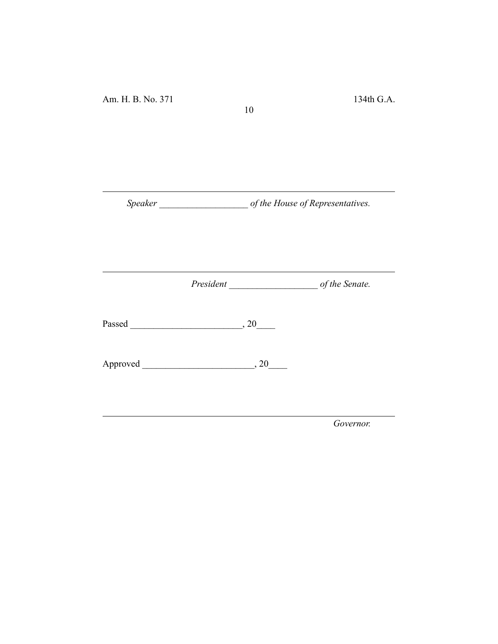*Speaker \_\_\_\_\_\_\_\_\_\_\_\_\_\_\_\_\_\_\_ of the House of Representatives.*

10

*President \_\_\_\_\_\_\_\_\_\_\_\_\_\_\_\_\_\_\_ of the Senate.*

Passed \_\_\_\_\_\_\_\_\_\_\_\_\_\_\_\_\_\_\_\_\_\_\_\_, 20\_\_\_\_

Approved \_\_\_\_\_\_\_\_\_\_\_\_\_\_\_\_\_\_\_\_\_\_\_\_, 20\_\_\_\_

*Governor.*